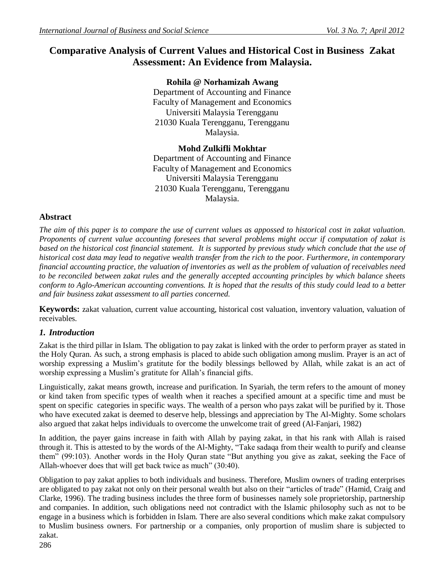# **Comparative Analysis of Current Values and Historical Cost in Business Zakat Assessment: An Evidence from Malaysia.**

**Rohila @ Norhamizah Awang** Department of Accounting and Finance Faculty of Management and Economics Universiti Malaysia Terengganu 21030 Kuala Terengganu, Terengganu Malaysia.

## **Mohd Zulkifli Mokhtar**

Department of Accounting and Finance Faculty of Management and Economics Universiti Malaysia Terengganu 21030 Kuala Terengganu, Terengganu Malaysia.

## **Abstract**

*The aim of this paper is to compare the use of current values as appossed to historical cost in zakat valuation. Proponents of current value accounting foresees that several problems might occur if computation of zakat is based on the historical cost financial statement. It is supported by previous study which conclude that the use of historical cost data may lead to negative wealth transfer from the rich to the poor. Furthermore, in contemporary financial accounting practice, the valuation of inventories as well as the problem of valuation of receivables need to be reconciled between zakat rules and the generally accepted accounting principles by which balance sheets conform to Aglo-American accounting conventions. It is hoped that the results of this study could lead to a better and fair business zakat assessment to all parties concerned.* 

**Keywords:** zakat valuation, current value accounting, historical cost valuation, inventory valuation, valuation of receivables.

## *1. Introduction*

Zakat is the third pillar in Islam. The obligation to pay zakat is linked with the order to perform prayer as stated in the Holy Quran. As such, a strong emphasis is placed to abide such obligation among muslim. Prayer is an act of worship expressing a Muslim"s gratitute for the bodily blessings bellowed by Allah, while zakat is an act of worship expressing a Muslim"s gratitute for Allah"s financial gifts.

Linguistically, zakat means growth, increase and purification. In Syariah, the term refers to the amount of money or kind taken from specific types of wealth when it reaches a specified amount at a specific time and must be spent on specific categories in specific ways. The wealth of a person who pays zakat will be purified by it. Those who have executed zakat is deemed to deserve help, blessings and appreciation by The Al-Mighty. Some scholars also argued that zakat helps individuals to overcome the unwelcome trait of greed (Al-Fanjari, 1982)

In addition, the payer gains increase in faith with Allah by paying zakat, in that his rank with Allah is raised through it. This is attested to by the words of the Al-Mighty, "Take sadaqa from their wealth to purify and cleanse them" (99:103). Another words in the Holy Quran state "But anything you give as zakat, seeking the Face of Allah-whoever does that will get back twice as much" (30:40).

Obligation to pay zakat applies to both individuals and business. Therefore, Muslim owners of trading enterprises are obligated to pay zakat not only on their personal wealth but also on their "articles of trade" (Hamid, Craig and Clarke, 1996). The trading business includes the three form of businesses namely sole proprietorship, partnership and companies. In addition, such obligations need not contradict with the Islamic philosophy such as not to be engage in a business which is forbidden in Islam. There are also several conditions which make zakat compulsory to Muslim business owners. For partnership or a companies, only proportion of muslim share is subjected to zakat.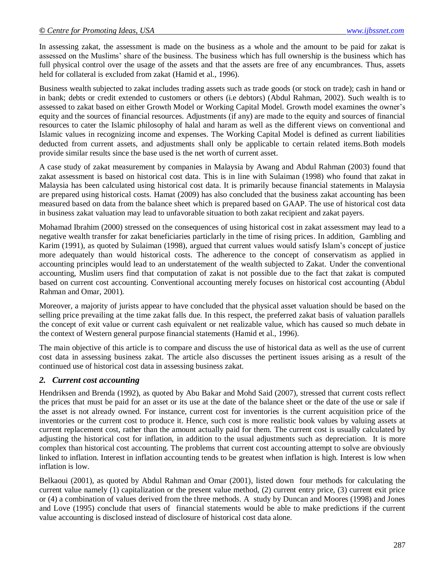In assessing zakat, the assessment is made on the business as a whole and the amount to be paid for zakat is assessed on the Muslims" share of the business. The business which has full ownership is the business which has full physical control over the usage of the assets and that the assets are free of any encumbrances. Thus, assets held for collateral is excluded from zakat (Hamid et al., 1996).

Business wealth subjected to zakat includes trading assets such as trade goods (or stock on trade); cash in hand or in bank; debts or credit extended to customers or others (i.e debtors) (Abdul Rahman, 2002). Such wealth is to assessed to zakat based on either Growth Model or Working Capital Model. Growth model examines the owner"s equity and the sources of financial resources. Adjustments (if any) are made to the equity and sources of financial resources to cater the Islamic philosophy of halal and haram as well as the different views on conventional and Islamic values in recognizing income and expenses. The Working Capital Model is defined as current liabilities deducted from current assets, and adjustments shall only be applicable to certain related items.Both models provide similar results since the base used is the net worth of current asset.

A case study of zakat measurement by companies in Malaysia by Awang and Abdul Rahman (2003) found that zakat assessment is based on historical cost data. This is in line with Sulaiman (1998) who found that zakat in Malaysia has been calculated using historical cost data. It is primarily because financial statements in Malaysia are prepared using historical costs. Hamat (2009) has also concluded that the business zakat accounting has been measured based on data from the balance sheet which is prepared based on GAAP. The use of historical cost data in business zakat valuation may lead to unfavorable situation to both zakat recipient and zakat payers.

Mohamad Ibrahim (2000) stressed on the consequences of using historical cost in zakat assessment may lead to a negative wealth transfer for zakat beneficiaries particlarly in the time of rising prices. In addition, Gambling and Karim (1991), as quoted by Sulaiman (1998), argued that current values would satisfy Islam"s concept of justice more adequately than would historical costs. The adherence to the concept of conservatism as applied in accounting principles would lead to an understatement of the wealth subjected to Zakat. Under the conventional accounting, Muslim users find that computation of zakat is not possible due to the fact that zakat is computed based on current cost accounting. Conventional accounting merely focuses on historical cost accounting (Abdul Rahman and Omar, 2001).

Moreover, a majority of jurists appear to have concluded that the physical asset valuation should be based on the selling price prevailing at the time zakat falls due. In this respect, the preferred zakat basis of valuation parallels the concept of exit value or current cash equivalent or net realizable value, which has caused so much debate in the context of Western general purpose financial statements (Hamid et al., 1996).

The main objective of this article is to compare and discuss the use of historical data as well as the use of current cost data in assessing business zakat. The article also discusses the pertinent issues arising as a result of the continued use of historical cost data in assessing business zakat.

### *2. Current cost accounting*

Hendriksen and Brenda (1992), as quoted by Abu Bakar and Mohd Said (2007), stressed that current costs reflect the prices that must be paid for an asset or its use at the date of the balance sheet or the date of the use or sale if the asset is not already owned. For instance, current cost for inventories is the current acquisition price of the inventories or the current cost to produce it. Hence, such cost is more realistic book values by valuing assets at current replacement cost, rather than the amount actually paid for them. The current cost is usually calculated by adjusting the historical cost for inflation, in addition to the usual adjustments such as [depreciation.](http://moneyterms.co.uk/depreciation/) It is more complex than historical cost accounting. The problems that current cost accounting attempt to solve are obviously linked to inflation. Interest in inflation accounting tends to be greatest when inflation is high. Interest is low when inflation is low.

Belkaoui (2001), as quoted by Abdul Rahman and Omar (2001), listed down four methods for calculating the current value namely (1) capitalization or the present value method, (2) current entry price, (3) current exit price or (4) a combination of values derived from the three methods. A study by Duncan and Moores (1998) and Jones and Love (1995) conclude that users of financial statements would be able to make predictions if the current value accounting is disclosed instead of disclosure of historical cost data alone.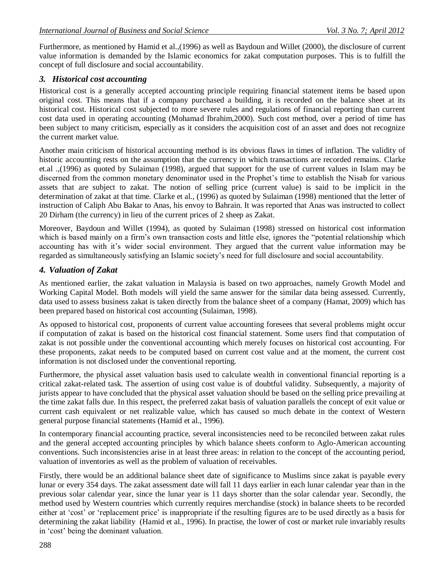Furthermore, as mentioned by Hamid et al.,(1996) as well as Baydoun and Willet (2000), the disclosure of current value information is demanded by the Islamic economics for zakat computation purposes. This is to fulfill the concept of full disclosure and social accountability.

#### *3. Historical cost accounting*

Historical cost is a generally accepted accounting principle requiring financial statement items be based upon original cost. This means that if a company purchased a building, it is recorded on the balance sheet at its historical cost. Historical cost subjected to more severe rules and regulations of financial reporting than current cost data used in operating accounting (Mohamad Ibrahim,2000). Such cost method, over a period of time has been subject to many criticism, especially as it considers the acquisition cost of an asset and does not recognize the current market value.

Another main criticism of historical accounting method is its obvious flaws in times of inflation. The validity of historic accounting rests on the assumption that the currency in which transactions are recorded remains. Clarke et.al .,(1996) as quoted by Sulaiman (1998), argued that support for the use of current values in Islam may be discerned from the common monetary denominator used in the Prophet"s time to establish the Nisab for various assets that are subject to zakat. The notion of selling price (current value) is said to be implicit in the determination of zakat at that time. Clarke et al., (1996) as quoted by Sulaiman (1998) mentioned that the letter of instruction of Caliph Abu Bakar to Anas, his envoy to Bahrain. It was reported that Anas was instructed to collect 20 Dirham (the currency) in lieu of the current prices of 2 sheep as Zakat.

Moreover, Baydoun and Willet (1994), as quoted by Sulaiman (1998) stressed on historical cost information which is based mainly on a firm's own transaction costs and little else, ignores the "potential relationship which accounting has with it's wider social environment. They argued that the current value information may be regarded as simultaneously satisfying an Islamic society"s need for full disclosure and social accountability.

#### *4. Valuation of Zakat*

As mentioned earlier, the zakat valuation in Malaysia is based on two approaches, namely Growth Model and Working Capital Model. Both models will yield the same answer for the similar data being assessed. Currently, data used to assess business zakat is taken directly from the balance sheet of a company (Hamat, 2009) which has been prepared based on historical cost accounting (Sulaiman, 1998).

As opposed to historical cost, proponents of current value accounting foresees that several problems might occur if computation of zakat is based on the historical cost financial statement. Some users find that computation of zakat is not possible under the conventional accounting which merely focuses on historical cost accounting. For these proponents, zakat needs to be computed based on current cost value and at the moment, the current cost information is not disclosed under the conventional reporting.

Furthermore, the physical asset valuation basis used to calculate wealth in conventional financial reporting is a critical zakat-related task. The assertion of using cost value is of doubtful validity. Subsequently, a majority of jurists appear to have concluded that the physical asset valuation should be based on the selling price prevailing at the time zakat falls due. In this respect, the preferred zakat basis of valuation parallels the concept of exit value or current cash equivalent or net realizable value, which has caused so much debate in the context of Western general purpose financial statements (Hamid et al., 1996).

In contemporary financial accounting practice, several inconsistencies need to be reconciled between zakat rules and the general accepted accounting principles by which balance sheets conform to Aglo-American accounting conventions. Such inconsistencies arise in at least three areas: in relation to the concept of the accounting period, valuation of inventories as well as the problem of valuation of receivables.

Firstly, there would be an additional balance sheet date of significance to Muslims since zakat is payable every lunar or every 354 days. The zakat assessment date will fall 11 days earlier in each lunar calendar year than in the previous solar calendar year, since the lunar year is 11 days shorter than the solar calendar year. Secondly, the method used by Western countries which currently requires merchandise (stock) in balance sheets to be recorded either at 'cost' or 'replacement price' is inappropriate if the resulting figures are to be used directly as a basis for determining the zakat liability (Hamid et al., 1996). In practise, the lower of cost or market rule invariably results in "cost" being the dominant valuation.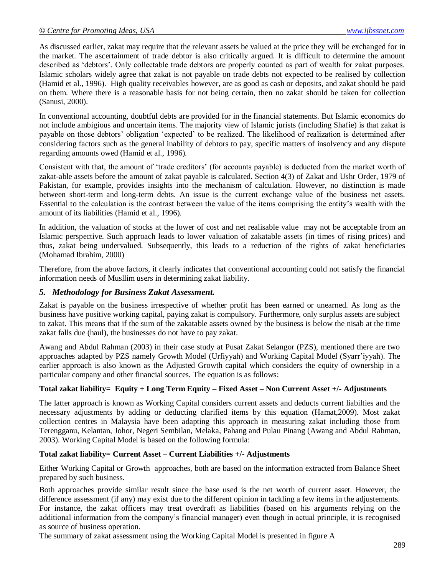As discussed earlier, zakat may require that the relevant assets be valued at the price they will be exchanged for in the market. The ascertainment of trade debtor is also critically argued. It is difficult to determine the amount described as "debtors". Only collectable trade debtors are properly counted as part of wealth for zakat purposes. Islamic scholars widely agree that zakat is not payable on trade debts not expected to be realised by collection (Hamid et al., 1996). High quality receivables however, are as good as cash or deposits, and zakat should be paid on them. Where there is a reasonable basis for not being certain, then no zakat should be taken for collection (Sanusi, 2000).

In conventional accounting, doubtful debts are provided for in the financial statements. But Islamic economics do not include ambigious and uncertain items. The majority view of Islamic jurists (including Shafie) is that zakat is payable on those debtors" obligation "expected" to be realized. The likelihood of realization is determined after considering factors such as the general inability of debtors to pay, specific matters of insolvency and any dispute regarding amounts owed (Hamid et al., 1996).

Consistent with that, the amount of "trade creditors" (for accounts payable) is deducted from the market worth of zakat-able assets before the amount of zakat payable is calculated. Section 4(3) of Zakat and Ushr Order, 1979 of Pakistan, for example, provides insights into the mechanism of calculation. However, no distinction is made between short-term and long-term debts. An issue is the current exchange value of the business net assets. Essential to the calculation is the contrast between the value of the items comprising the entity"s wealth with the amount of its liabilities (Hamid et al., 1996).

In addition, the valuation of stocks at the lower of cost and net realisable value may not be acceptable from an Islamic perspective. Such approach leads to lower valuation of zakatable assets (in times of rising prices) and thus, zakat being undervalued. Subsequently, this leads to a reduction of the rights of zakat beneficiaries (Mohamad Ibrahim, 2000)

Therefore, from the above factors, it clearly indicates that conventional accounting could not satisfy the financial information needs of Musllim users in determining zakat liability.

### *5. Methodology for Business Zakat Assessment.*

Zakat is payable on the business irrespective of whether profit has been earned or unearned. As long as the business have positive working capital, paying zakat is compulsory. Furthermore, only surplus assets are subject to zakat. This means that if the sum of the zakatable assets owned by the business is below the nisab at the time zakat falls due (haul), the businesses do not have to pay zakat.

Awang and Abdul Rahman (2003) in their case study at Pusat Zakat Selangor (PZS), mentioned there are two approaches adapted by PZS namely Growth Model (Urfiyyah) and Working Capital Model (Syarr"iyyah). The earlier approach is also known as the Adjusted Growth capital which considers the equity of ownership in a particular company and other financial sources. The equation is as follows:

### **Total zakat liability= Equity + Long Term Equity – Fixed Asset – Non Current Asset +/- Adjustments**

The latter approach is known as Working Capital considers current assets and deducts current liabilties and the necessary adjustments by adding or deducting clarified items by this equation (Hamat,2009). Most zakat collection centres in Malaysia have been adapting this approach in measuring zakat including those from Terengganu, Kelantan, Johor, Negeri Sembilan, Melaka, Pahang and Pulau Pinang (Awang and Abdul Rahman, 2003). Working Capital Model is based on the following formula:

### **Total zakat liability= Current Asset – Current Liabilities +/- Adjustments**

Either Working Capital or Growth approaches, both are based on the information extracted from Balance Sheet prepared by such business.

Both approaches provide similar result since the base used is the net worth of current asset. However, the difference assessment (if any) may exist due to the different opinion in tackling a few items in the adjustements. For instance, the zakat officers may treat overdraft as liabilities (based on his arguments relying on the additional information from the company"s financial manager) even though in actual principle, it is recognised as source of business operation.

The summary of zakat assessment using the Working Capital Model is presented in figure A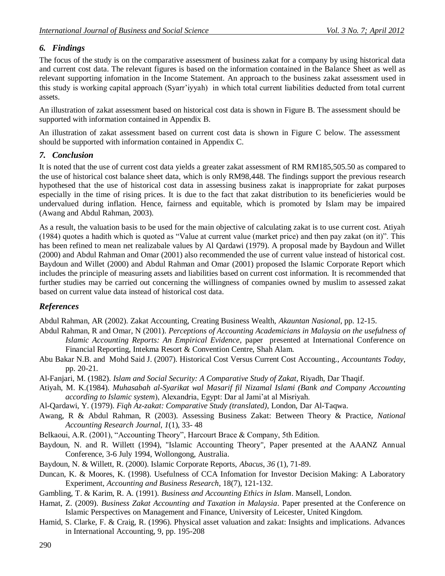## *6. Findings*

The focus of the study is on the comparative assessment of business zakat for a company by using historical data and current cost data. The relevant figures is based on the information contained in the Balance Sheet as well as relevant supporting infomation in the Income Statement. An approach to the business zakat assessment used in this study is working capital approach (Syarr"iyyah) in which total current liabilities deducted from total current assets.

An illustration of zakat assessment based on historical cost data is shown in Figure B. The assessment should be supported with information contained in Appendix B.

An illustration of zakat assessment based on current cost data is shown in Figure C below. The assessment should be supported with information contained in Appendix C.

## *7. Conclusion*

It is noted that the use of current cost data yields a greater zakat assessment of RM RM185,505.50 as compared to the use of historical cost balance sheet data, which is only RM98,448. The findings support the previous research hypothesed that the use of historical cost data in assessing business zakat is inappropriate for zakat purposes especially in the time of rising prices. It is due to the fact that zakat distribution to its beneficieries would be undervalued during inflation. Hence, fairness and equitable, which is promoted by Islam may be impaired (Awang and Abdul Rahman, 2003). Ì

As a result, the valuation basis to be used for the main objective of calculating zakat is to use current cost. Atiyah (1984) quotes a hadith which is quoted as "Value at current value (market price) and then pay zakat (on it)". This has been refined to mean net realizabale values by Al Qardawi (1979). A proposal made by Baydoun and Willet (2000) and Abdul Rahman and Omar (2001) also recommended the use of current value instead of historical cost. Baydoun and Willet (2000) and Abdul Rahman and Omar (2001) proposed the Islamic Corporate Report which includes the principle of measuring assets and liabilities based on current cost information. It is recommended that further studies may be carried out concerning the willingness of companies owned by muslim to assessed zakat based on current value data instead of historical cost data.

## *References*

Abdul Rahman, AR (2002). Zakat Accounting, Creating Business Wealth, *Akauntan Nasional*, pp. 12-15.

- Abdul Rahman, R and Omar, N (2001). *Perceptions of Accounting Academicians in Malaysia on the usefulness of Islamic Accounting Reports: An Empirical Evidence*, paper presented at International Conference on Financial Reporting, Intekma Resort & Convention Centre, Shah Alam.
- Abu Bakar N.B. and Mohd Said J. (2007). Historical Cost Versus Current Cost Accounting., *Accountants Today*, pp. 20-21.
- Al-Fanjari, M. (1982). *Islam and Social Security: A Comparative Study of Zakat*, Riyadh, Dar Thaqif.
- Atiyah, M. K.(1984). *Muhasabah al-Syarikat wal Masarif fil Nizamal Islami (Bank and Company Accounting according to Islamic system*), Alexandria, Egypt: Dar al Jami"at al Misriyah.
- Al-Qardawi, Y. (1979). *Fiqh Az-zakat: Comparative Study (translated)*, London, Dar Al-Taqwa.
- Awang, R & Abdul Rahman, R (2003). Assessing Business Zakat: Between Theory & Practice, *National Accounting Research Journal*, *1*(1), 33- 48
- Belkaoui, A.R. (2001), "Accounting Theory", Harcourt Brace & Company, 5th Edition.
- Baydoun, N. and R. Willett (1994), "Islamic Accounting Theory", Paper presented at the AAANZ Annual Conference, 3-6 July 1994, Wollongong, Australia.
- Baydoun, N. & Willett, R. (2000). Islamic Corporate Reports, *Abacus*, *36* (1), 71-89.
- Duncan, K. & Moores, K. (1998). Usefulness of CCA Infomation for Investor Decision Making: A Laboratory Experiment, *Accounting and Business Research*, 18(7), 121-132.

Gambling, T. & Karim, R. A. (1991). *Business and Accounting Ethics in Islam*. Mansell, London.

- Hamat, Z. (2009). *Business Zakat Accounting and Taxation in Malaysia*. Paper presented at the Conference on Islamic Perspectives on Management and Finance, University of Leicester, United Kingdom.
- Hamid, S. Clarke, F. & Craig, R. (1996). Physical asset valuation and zakat: Insights and implications. Advances in International Accounting, 9, pp. 195-208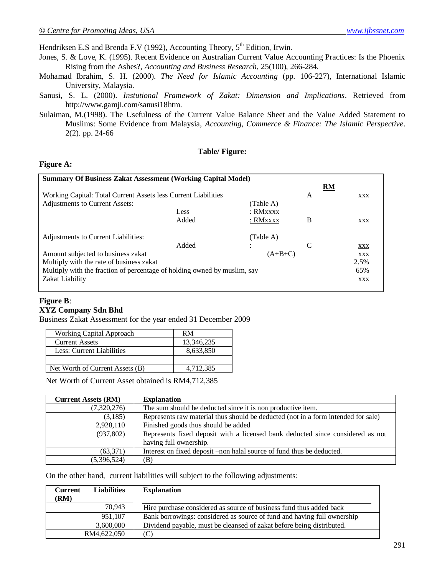Hendriksen E.S and Brenda F.V (1992), Accounting Theory,  $5<sup>th</sup>$  Edition, Irwin.

- Jones, S. & Love, K. (1995). Recent Evidence on Australian Current Value Accounting Practices: Is the Phoenix Rising from the Ashes?, *Accounting and Business Research*, 25(100), 266-284.
- Mohamad Ibrahim, S. H. (2000). *The Need for Islamic Accounting* (pp. 106-227), International Islamic University, Malaysia.
- Sanusi, S. L. (2000). *Instutional Framework of Zakat: Dimension and Implications*. Retrieved from [http://www.gamji.com/sanusi18htm.](http://www.gamji.com/sanusi18htm)
- Sulaiman, M.(1998). The Usefulness of the Current Value Balance Sheet and the Value Added Statement to Muslims: Some Evidence from Malaysia, *Accounting, Commerce & Finance: The Islamic Perspective*. 2(2). pp. 24-66

#### **Table/ Figure:**

#### **Figure A:**

| <b>Summary Of Business Zakat Assessment (Working Capital Model)</b>      |       |                 |      |            |
|--------------------------------------------------------------------------|-------|-----------------|------|------------|
|                                                                          |       |                 |      | RM         |
| Working Capital: Total Current Assets less Current Liabilities           |       |                 | A    | <b>XXX</b> |
| Adjustments to Current Assets:<br>(Table A)                              |       |                 |      |            |
|                                                                          | Less  | : <b>RMxxxx</b> |      |            |
|                                                                          | Added | : RMxxxx        | B    | <b>XXX</b> |
| Adjustments to Current Liabilities:                                      |       | (Table A)       |      |            |
|                                                                          | Added |                 | C    | XXX        |
| Amount subjected to business zakat<br>$(A+B+C)$                          |       |                 |      | <b>XXX</b> |
| Multiply with the rate of business zakat                                 |       |                 | 2.5% |            |
| Multiply with the fraction of percentage of holding owned by muslim, say |       |                 | 65%  |            |
| Zakat Liability                                                          |       |                 |      | XXX        |

### **Figure B**:

#### **XYZ Company Sdn Bhd**

Business Zakat Assessment for the year ended 31 December 2009

| Working Capital Approach        | RM         |
|---------------------------------|------------|
| <b>Current Assets</b>           | 13,346,235 |
| Less: Current Liabilities       | 8,633,850  |
|                                 |            |
| Net Worth of Current Assets (B) |            |

Net Worth of Current Asset obtained is RM4,712,385

| <b>Current Assets (RM)</b> | <b>Explanation</b>                                                                |
|----------------------------|-----------------------------------------------------------------------------------|
| (7,320,276)                | The sum should be deducted since it is non productive item.                       |
| (3,185)                    | Represents raw material thus should be deducted (not in a form intended for sale) |
| 2,928,110                  | Finished goods thus should be added                                               |
| (937,802)                  | Represents fixed deposit with a licensed bank deducted since considered as not    |
|                            | having full ownership.                                                            |
| (63,371)                   | Interest on fixed deposit -non halal source of fund thus be deducted.             |
| (5,396,524)                | (B)                                                                               |

On the other hand, current liabilities will subject to the following adjustments:

| <b>Liabilities</b><br><b>Current</b><br>(RM) | <b>Explanation</b>                                                      |
|----------------------------------------------|-------------------------------------------------------------------------|
|                                              |                                                                         |
| 70.943                                       | Hire purchase considered as source of business fund thus added back     |
| 951.107                                      | Bank borrowings: considered as source of fund and having full ownership |
| 3,600,000                                    | Dividend payable, must be cleansed of zakat before being distributed.   |
| RM4,622,050                                  | C                                                                       |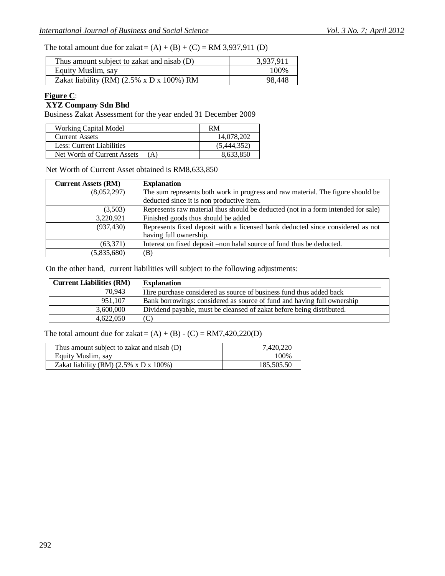The total amount due for zakat =  $(A) + (B) + (C) = RM 3,937,911$  (D)

| Thus amount subject to zakat and nisab (D)              | 3,937,911 |
|---------------------------------------------------------|-----------|
| Equity Muslim, say                                      | 100%      |
| Zakat liability (RM) $(2.5\% \times D \times 100\%)$ RM | 98,448    |

## **Figure C**:

#### **XYZ Company Sdn Bhd**

Business Zakat Assessment for the year ended 31 December 2009

| <b>Working Capital Model</b>       | RM          |
|------------------------------------|-------------|
| <b>Current Assets</b>              | 14,078,202  |
| Less: Current Liabilities          | (5,444,352) |
| Net Worth of Current Assets<br>(A) | 8,633,850   |

Net Worth of Current Asset obtained is RM8,633,850

| <b>Current Assets (RM)</b> | <b>Explanation</b>                                                                |
|----------------------------|-----------------------------------------------------------------------------------|
| (8,052,297)                | The sum represents both work in progress and raw material. The figure should be   |
|                            | deducted since it is non productive item.                                         |
| (3,503)                    | Represents raw material thus should be deducted (not in a form intended for sale) |
| 3,220,921                  | Finished goods thus should be added                                               |
| (937, 430)                 | Represents fixed deposit with a licensed bank deducted since considered as not    |
|                            | having full ownership.                                                            |
| (63,371)                   | Interest on fixed deposit -non halal source of fund thus be deducted.             |
| (5,835,680)                | (B)                                                                               |

On the other hand, current liabilities will subject to the following adjustments:

| <b>Current Liabilities (RM)</b> | <b>Explanation</b>                                                      |
|---------------------------------|-------------------------------------------------------------------------|
| 70.943                          | Hire purchase considered as source of business fund thus added back     |
| 951,107                         | Bank borrowings: considered as source of fund and having full ownership |
| 3,600,000                       | Dividend payable, must be cleansed of zakat before being distributed.   |
| 4.622.050                       | (C)                                                                     |

The total amount due for zakat =  $(A) + (B) - (C) = RM7,420,220(D)$ 

| Thus amount subject to zakat and nisab (D)           | 7.420.220  |
|------------------------------------------------------|------------|
| Equity Muslim, say                                   | 100\%      |
| Zakat liability (RM) $(2.5\% \times D \times 100\%)$ | 185,505.50 |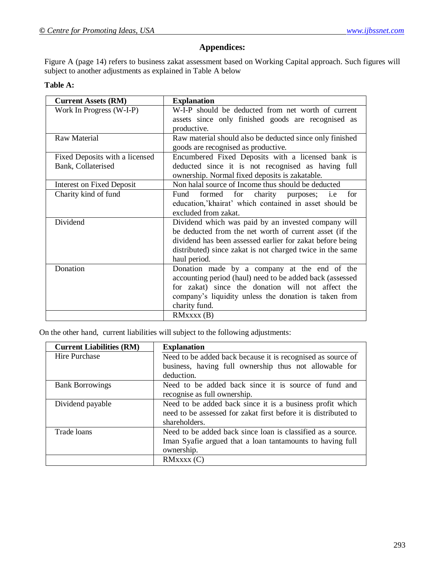## **Appendices:**

Figure A (page 14) refers to business zakat assessment based on Working Capital approach. Such figures will subject to another adjustments as explained in Table A below

#### **Table A:**

| <b>Current Assets (RM)</b>       | <b>Explanation</b>                                        |  |
|----------------------------------|-----------------------------------------------------------|--|
| Work In Progress (W-I-P)         | W-I-P should be deducted from net worth of current        |  |
|                                  | assets since only finished goods are recognised as        |  |
|                                  | productive.                                               |  |
| <b>Raw Material</b>              | Raw material should also be deducted since only finished  |  |
|                                  | goods are recognised as productive.                       |  |
| Fixed Deposits with a licensed   | Encumbered Fixed Deposits with a licensed bank is         |  |
| Bank, Collaterised               | deducted since it is not recognised as having full        |  |
|                                  | ownership. Normal fixed deposits is zakatable.            |  |
| <b>Interest on Fixed Deposit</b> | Non halal source of Income thus should be deducted        |  |
| Charity kind of fund             | formed for charity purposes; i.e<br>Fund<br>for           |  |
|                                  | education,'khairat' which contained in asset should be    |  |
|                                  | excluded from zakat.                                      |  |
| Dividend                         | Dividend which was paid by an invested company will       |  |
|                                  | be deducted from the net worth of current asset (if the   |  |
|                                  | dividend has been assessed earlier for zakat before being |  |
|                                  | distributed) since zakat is not charged twice in the same |  |
|                                  | haul period.                                              |  |
| Donation                         | Donation made by a company at the end of the              |  |
|                                  | accounting period (haul) need to be added back (assessed  |  |
|                                  | for zakat) since the donation will not affect the         |  |
|                                  | company's liquidity unless the donation is taken from     |  |
|                                  | charity fund.                                             |  |
|                                  | RMxxxx(B)                                                 |  |

On the other hand, current liabilities will subject to the following adjustments:

| <b>Current Liabilities (RM)</b> | <b>Explanation</b>                                              |  |  |
|---------------------------------|-----------------------------------------------------------------|--|--|
| Hire Purchase                   | Need to be added back because it is recognised as source of     |  |  |
|                                 | business, having full ownership thus not allowable for          |  |  |
|                                 | deduction.                                                      |  |  |
| <b>Bank Borrowings</b>          | Need to be added back since it is source of fund and            |  |  |
|                                 | recognise as full ownership.                                    |  |  |
| Dividend payable                | Need to be added back since it is a business profit which       |  |  |
|                                 | need to be assessed for zakat first before it is distributed to |  |  |
|                                 | shareholders.                                                   |  |  |
| Trade loans                     | Need to be added back since loan is classified as a source.     |  |  |
|                                 | Iman Syafie argued that a loan tantamounts to having full       |  |  |
|                                 | ownership.                                                      |  |  |
|                                 | RMxxxx(C)                                                       |  |  |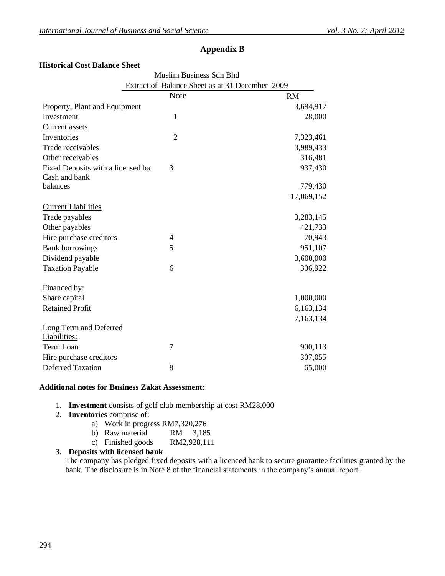### **Appendix B**

#### **Historical Cost Balance Sheet**

|                                   | Muslim Business Sdn Bhd                         |            |  |
|-----------------------------------|-------------------------------------------------|------------|--|
|                                   | Extract of Balance Sheet as at 31 December 2009 |            |  |
|                                   | <b>Note</b>                                     | <b>RM</b>  |  |
| Property, Plant and Equipment     |                                                 | 3,694,917  |  |
| Investment                        | 1                                               | 28,000     |  |
| <b>Current</b> assets             |                                                 |            |  |
| Inventories                       | $\overline{2}$                                  | 7,323,461  |  |
| Trade receivables                 |                                                 | 3,989,433  |  |
| Other receivables                 |                                                 | 316,481    |  |
| Fixed Deposits with a licensed ba | 3                                               | 937,430    |  |
| Cash and bank                     |                                                 |            |  |
| balances                          |                                                 | 779,430    |  |
|                                   |                                                 | 17,069,152 |  |
| <b>Current Liabilities</b>        |                                                 |            |  |
| Trade payables                    |                                                 | 3,283,145  |  |
| Other payables                    |                                                 | 421,733    |  |
| Hire purchase creditors           | 4                                               | 70,943     |  |
| <b>Bank borrowings</b>            | 5                                               | 951,107    |  |
| Dividend payable                  |                                                 | 3,600,000  |  |
| <b>Taxation Payable</b>           | 6                                               | 306,922    |  |
| <b>Financed by:</b>               |                                                 |            |  |
| Share capital                     |                                                 | 1,000,000  |  |
| <b>Retained Profit</b>            |                                                 | 6,163,134  |  |
|                                   |                                                 | 7,163,134  |  |
| <b>Long Term and Deferred</b>     |                                                 |            |  |
| Liabilities:<br>Term Loan         | 7                                               |            |  |
|                                   |                                                 | 900,113    |  |
| Hire purchase creditors           |                                                 | 307,055    |  |
| <b>Deferred Taxation</b>          | 8                                               | 65,000     |  |

#### **Additional notes for Business Zakat Assessment:**

- 1. **Investment** consists of golf club membership at cost RM28,000
- 2. **Inventories** comprise of:
	- a) Work in progress RM7,320,276
	- b) Raw material RM 3,185
	- c) Finished goods RM2,928,111
- **3. Deposits with licensed bank**

The company has pledged fixed deposits with a licenced bank to secure guarantee facilities granted by the bank. The disclosure is in Note 8 of the financial statements in the company"s annual report.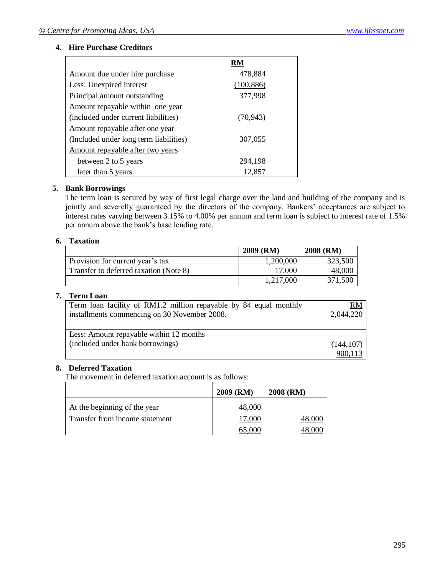#### **4. Hire Purchase Creditors**

| Amount due under hire purchase         | 478,884    |  |
|----------------------------------------|------------|--|
| Less: Unexpired interest               | (100, 886) |  |
| Principal amount outstanding           | 377,998    |  |
| Amount repayable within one year       |            |  |
| (included under current liabilities)   | (70.943)   |  |
| Amount repayable after one year        |            |  |
| (Included under long term liabilities) | 307,055    |  |
| Amount repayable after two years       |            |  |
| between 2 to 5 years                   | 294,198    |  |
| later than 5 years                     | 12,857     |  |

#### **5. Bank Borrowings**

The term loan is secured by way of first legal charge over the land and building of the company and is jointly and severelly guaranteed by the directors of the company. Bankers' acceptances are subject to interest rates varying between 3.15% to 4.00% per annum and term loan is subject to interest rate of 1.5% per annum above the bank"s base lending rate.

#### **6. Taxation**

|                                        | <b>2009 (RM)</b> | 2008 (RM) |
|----------------------------------------|------------------|-----------|
| Provision for current year's tax       | 1,200,000        | 323,500   |
| Transfer to deferred taxation (Note 8) | 17,000           | 48,000    |
|                                        | 1,217,000        | 371,500   |

#### **7. Term Loan**

| Term loan facility of RM1.2 million repayable by 84 equal monthly           | <u>RM</u> |
|-----------------------------------------------------------------------------|-----------|
| installments commencing on 30 November 2008.                                | 2,044,220 |
| Less: Amount repayable within 12 months<br>(included under bank borrowings) | (144.107) |

#### **8. Deferred Taxation**

The movement in deferred taxation account is as follows:

|                                | 2009 (RM) | 2008 (RM) |
|--------------------------------|-----------|-----------|
| At the beginning of the year   | 48,000    |           |
| Transfer from income statement | 17,000    |           |
|                                | 55.000    |           |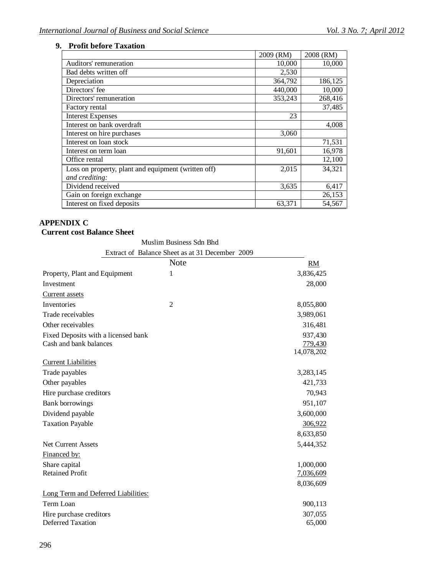٠

## **9. Profit before Taxation**

|                                                     | 2009 (RM) | 2008 (RM) |
|-----------------------------------------------------|-----------|-----------|
| Auditors' remuneration                              | 10,000    | 10,000    |
| Bad debts written off                               | 2,530     |           |
| Depreciation                                        | 364,792   | 186,125   |
| Directors' fee                                      | 440,000   | 10,000    |
| Directors' remuneration                             | 353,243   | 268,416   |
| Factory rental                                      |           | 37,485    |
| <b>Interest Expenses</b>                            | 23        |           |
| Interest on bank overdraft                          |           | 4,008     |
| Interest on hire purchases                          | 3,060     |           |
| Interest on loan stock                              |           | 71,531    |
| Interest on term loan                               | 91,601    | 16,978    |
| Office rental                                       |           | 12,100    |
| Loss on property, plant and equipment (written off) | 2,015     | 34,321    |
| and crediting:                                      |           |           |
| Dividend received                                   | 3,635     | 6,417     |
| Gain on foreign exchange                            |           | 26,153    |
| Interest on fixed deposits                          | 63,371    | 54,567    |

#### **APPENDIX C Current cost Balance Sheet**

Muslim Business Sdn Bhd

|                                     | Extract of Balance Sheet as at 31 December 2009 |            |
|-------------------------------------|-------------------------------------------------|------------|
|                                     | <b>Note</b>                                     | <b>RM</b>  |
| Property, Plant and Equipment       | 1                                               | 3,836,425  |
| Investment                          |                                                 | 28,000     |
| <b>Current assets</b>               |                                                 |            |
| Inventories                         | $\overline{2}$                                  | 8,055,800  |
| Trade receivables                   |                                                 | 3,989,061  |
| Other receivables                   |                                                 | 316,481    |
| Fixed Deposits with a licensed bank |                                                 | 937,430    |
| Cash and bank balances              |                                                 | 779,430    |
|                                     |                                                 | 14,078,202 |
| <b>Current Liabilities</b>          |                                                 |            |
| Trade payables                      |                                                 | 3,283,145  |
| Other payables                      |                                                 | 421,733    |
| Hire purchase creditors             |                                                 | 70,943     |
| <b>Bank borrowings</b>              |                                                 | 951,107    |
| Dividend payable                    |                                                 | 3,600,000  |
| <b>Taxation Payable</b>             |                                                 | 306,922    |
|                                     |                                                 | 8,633,850  |
| <b>Net Current Assets</b>           |                                                 | 5,444,352  |
| Financed by:                        |                                                 |            |
| Share capital                       |                                                 | 1,000,000  |
| <b>Retained Profit</b>              |                                                 | 7,036,609  |
|                                     |                                                 | 8,036,609  |
| Long Term and Deferred Liabilities: |                                                 |            |
| Term Loan                           |                                                 | 900,113    |
| Hire purchase creditors             |                                                 | 307,055    |
| <b>Deferred Taxation</b>            |                                                 | 65,000     |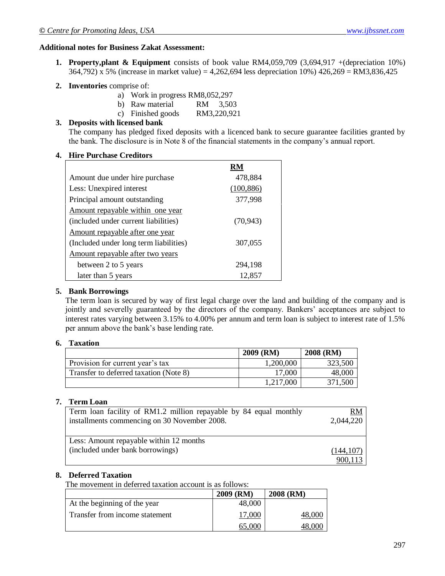#### **Additional notes for Business Zakat Assessment:**

- **1. Property,plant & Equipment** consists of book value RM4,059,709 (3,694,917 +(depreciation 10%) 364,792) x 5% (increase in market value) = 4,262,694 less depreciation 10%) 426,269 = RM3,836,425
- **2. Inventories** comprise of:
	- a) Work in progress RM8,052,297
	- b) Raw material RM 3,503
	- c) Finished goods RM3,220,921

## **3. Deposits with licensed bank**

The company has pledged fixed deposits with a licenced bank to secure guarantee facilities granted by the bank. The disclosure is in Note 8 of the financial statements in the company"s annual report.

#### **4. Hire Purchase Creditors**

| Amount due under hire purchase         | 478,884    |
|----------------------------------------|------------|
| Less: Unexpired interest               | (100, 886) |
| Principal amount outstanding           | 377,998    |
| Amount repayable within one year       |            |
| (included under current liabilities)   | (70, 943)  |
| Amount repayable after one year        |            |
| (Included under long term liabilities) | 307,055    |
| Amount repayable after two years       |            |
| between 2 to 5 years                   | 294,198    |
| later than 5 years                     | 12,857     |

#### **5. Bank Borrowings**

The term loan is secured by way of first legal charge over the land and building of the company and is jointly and severelly guaranteed by the directors of the company. Bankers' acceptances are subject to interest rates varying between 3.15% to 4.00% per annum and term loan is subject to interest rate of 1.5% per annum above the bank"s base lending rate.

#### **6. Taxation**

|                                        | 2009 (RM) | 2008 (RM) |
|----------------------------------------|-----------|-----------|
| Provision for current year's tax       | 1,200,000 | 323,500   |
| Transfer to deferred taxation (Note 8) | 17,000    | 48,000    |
|                                        | 1,217,000 | 371,500   |

### **7. Term Loan**

| Term loan facility of RM1.2 million repayable by 84 equal monthly<br>installments commencing on 30 November 2008. | <u>RM</u><br>2,044,220 |
|-------------------------------------------------------------------------------------------------------------------|------------------------|
|                                                                                                                   |                        |
| Less: Amount repayable within 12 months                                                                           |                        |
| (included under bank borrowings)                                                                                  | (144.107)              |
|                                                                                                                   |                        |

#### **8. Deferred Taxation**

The movement in deferred taxation account is as follows:

|                                | 2009 (RM) | 2008 (RM) |
|--------------------------------|-----------|-----------|
| At the beginning of the year   | 48,000    |           |
| Transfer from income statement | 17,000    |           |
|                                | 65.000    |           |